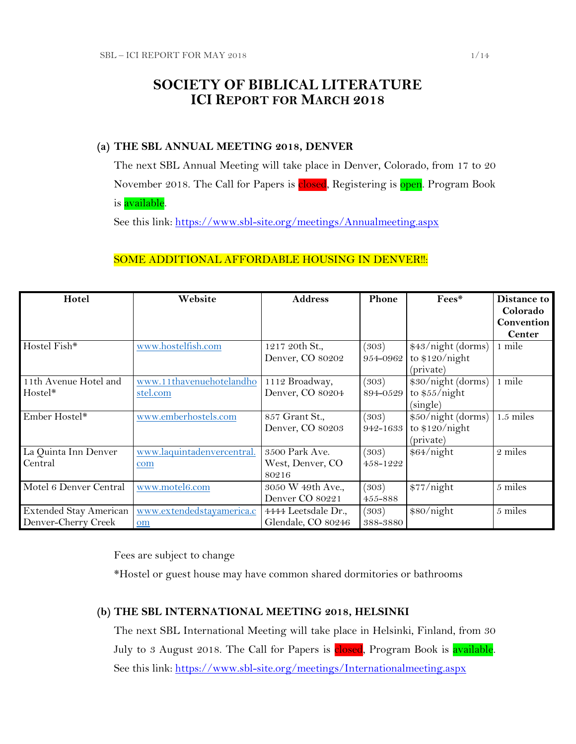# **SOCIETY OF BIBLICAL LITERATURE ICI REPORT FOR MARCH 2018**

### **(a) THE SBL ANNUAL MEETING 2018, DENVER**

The next SBL Annual Meeting will take place in Denver, Colorado, from 17 to 20 November 2018. The Call for Papers is closed, Registering is open. Program Book is **available**.

See this link:<https://www.sbl-site.org/meetings/Annualmeeting.aspx>

### SOME ADDITIONAL AFFORDABLE HOUSING IN DENVER !!:

| Hotel                  | Website                    | <b>Address</b>      | Phone    | Fees*              | Distance to   |
|------------------------|----------------------------|---------------------|----------|--------------------|---------------|
|                        |                            |                     |          |                    | Colorado      |
|                        |                            |                     |          |                    | Convention    |
|                        |                            |                     |          |                    | <b>Center</b> |
| Hostel Fish*           | www.hostelfish.com         | 1217 20th St.,      | (303)    | \$43/night (dorms) | 1 mile        |
|                        |                            | Denver, CO 80202    | 954-0962 | to $$120/night$    |               |
|                        |                            |                     |          | (private)          |               |
| 11th Avenue Hotel and  | www.11thavenuehotelandho   | 1112 Broadway,      | (303)    | \$30/night (dorms) | 1 mile        |
| Hostel*                | stel.com                   | Denver, CO 80204    | 894-0529 | to $$55/night$     |               |
|                        |                            |                     |          | (single)           |               |
| Ember Hostel*          | www.emberhostels.com       | 857 Grant St.,      | (303)    | \$50/night (dorms) | $1.5$ miles   |
|                        |                            | Denver, CO 80203    | 942-1633 | to $$120/night$    |               |
|                        |                            |                     |          | (private)          |               |
| La Quinta Inn Denver   | www.laquintadenvercentral. | 3500 Park Ave.      | (303)    | \$64/night         | 2 miles       |
| Central                | com                        | West, Denver, CO    | 458-1222 |                    |               |
|                        |                            | 80216               |          |                    |               |
| Motel 6 Denver Central | www.motel6.com             | 3050 W 49th Ave.,   | (303)    | \$77/night         | 5 miles       |
|                        |                            | Denver CO 80221     | 455-888  |                    |               |
| Extended Stay American | www.extendedstayamerica.c  | 4444 Leetsdale Dr., | (303)    | \$80/night         | 5 miles       |
| Denver-Cherry Creek    | om                         | Glendale, CO 80246  | 388-3880 |                    |               |

Fees are subject to change

\*Hostel or guest house may have common shared dormitories or bathrooms

### **(b) THE SBL INTERNATIONAL MEETING 2018, HELSINKI**

The next SBL International Meeting will take place in Helsinki, Finland, from 30 July to 3 August 2018. The Call for Papers is **closed**, Program Book is **available**. See this link:<https://www.sbl-site.org/meetings/Internationalmeeting.aspx>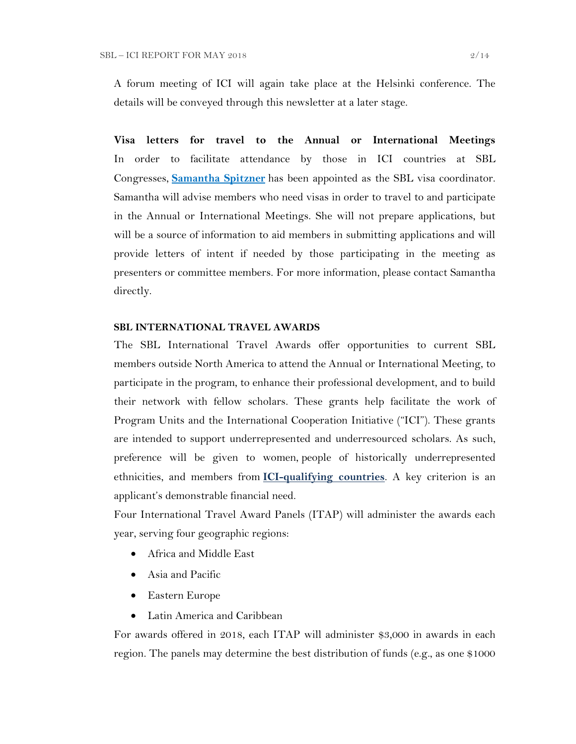A forum meeting of ICI will again take place at the Helsinki conference. The details will be conveyed through this newsletter at a later stage.

**Visa letters for travel to the Annual or International Meetings** In order to facilitate attendance by those in ICI countries at SBL Congresses, **[Samantha Spitzner](mailto:samantha.spitzner@sbl-site.org)** has been appointed as the SBL visa coordinator. Samantha will advise members who need visas in order to travel to and participate in the Annual or International Meetings. She will not prepare applications, but will be a source of information to aid members in submitting applications and will provide letters of intent if needed by those participating in the meeting as presenters or committee members. For more information, please contact Samantha directly.

### **SBL INTERNATIONAL TRAVEL AWARDS**

The SBL International Travel Awards offer opportunities to current SBL members outside North America to attend the Annual or International Meeting, to participate in the program, to enhance their professional development, and to build their network with fellow scholars. These grants help facilitate the work of Program Units and the International Cooperation Initiative ("ICI"). These grants are intended to support underrepresented and underresourced scholars. As such, preference will be given to women, people of historically underrepresented ethnicities, and members from **[ICI-qualifying countries](https://www.sbl-site.org/assets/pdfs/ICIcountries.pdf)**. A key criterion is an applicant's demonstrable financial need.

Four International Travel Award Panels (ITAP) will administer the awards each year, serving four geographic regions:

- Africa and Middle East
- Asia and Pacific
- Eastern Europe
- Latin America and Caribbean

For awards offered in 2018, each ITAP will administer \$3,000 in awards in each region. The panels may determine the best distribution of funds (e.g., as one \$1000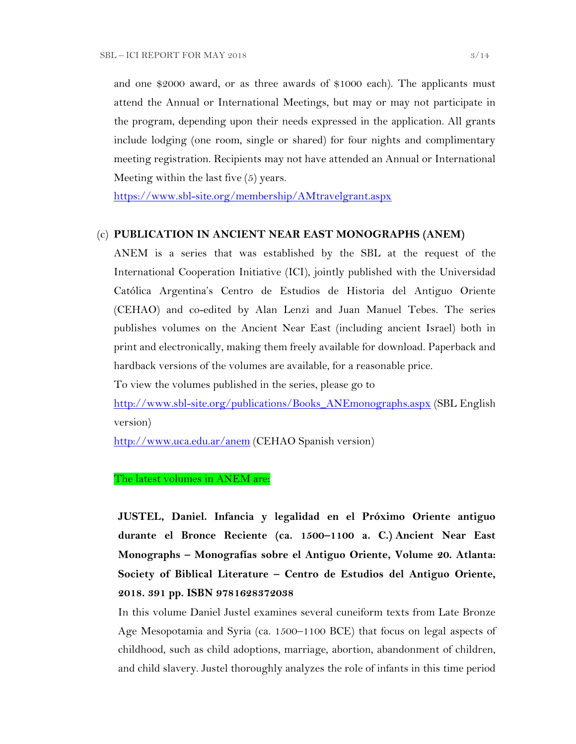and one \$2000 award, or as three awards of \$1000 each). The applicants must attend the Annual or International Meetings, but may or may not participate in the program, depending upon their needs expressed in the application. All grants include lodging (one room, single or shared) for four nights and complimentary meeting registration. Recipients may not have attended an Annual or International Meeting within the last five (5) years.

<https://www.sbl-site.org/membership/AMtravelgrant.aspx>

#### (c) **PUBLICATION IN [ANCIENT NEAR EAST MONOGRAPHS](http://www.sbl-site.org/publications/Books_ANEmonographs.aspx) (ANEM)**

ANEM is a series that was established by the SBL at the request of the International Cooperation Initiative (ICI), jointly published with the Universidad Católica Argentina's Centro de Estudios de Historia del Antiguo Oriente (CEHAO) and co-edited by Alan Lenzi and Juan Manuel Tebes. The series publishes volumes on the Ancient Near East (including ancient Israel) both in print and electronically, making them freely available for download. Paperback and hardback versions of the volumes are available, for a reasonable price.

To view the volumes published in the series, please go to

[http://www.sbl-site.org/publications/Books\\_ANEmonographs.aspx](http://www.sbl-site.org/publications/Books_ANEmonographs.aspx) (SBL English version)

<http://www.uca.edu.ar/anem> (CEHAO Spanish version)

### The latest volumes in ANEM are:

**JUSTEL, Daniel. Infancia y legalidad en el Próximo Oriente antiguo durante el Bronce Reciente (ca. 1500–1100 a. C.) Ancient Near East Monographs – Monografías sobre el Antiguo Oriente, Volume 20. Atlanta: Society of Biblical Literature – Centro de Estudios del Antiguo Oriente, 2018. 391 pp. ISBN 9781628372038**

In this volume Daniel Justel examines several cuneiform texts from Late Bronze Age Mesopotamia and Syria (ca. 1500–1100 BCE) that focus on legal aspects of childhood, such as child adoptions, marriage, abortion, abandonment of children, and child slavery. Justel thoroughly analyzes the role of infants in this time period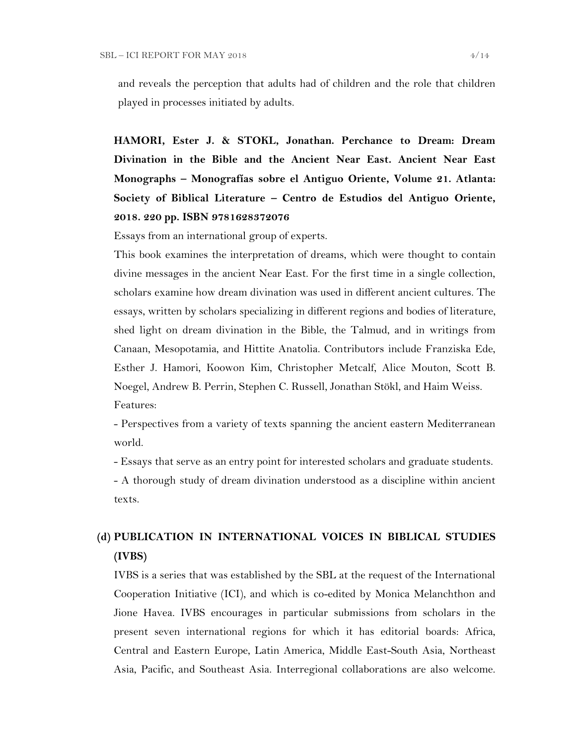and reveals the perception that adults had of children and the role that children played in processes initiated by adults.

**HAMORI, Ester J. & STOKL, Jonathan. Perchance to Dream: Dream Divination in the Bible and the Ancient Near East. Ancient Near East Monographs – Monografías sobre el Antiguo Oriente, Volume 21. Atlanta: Society of Biblical Literature – Centro de Estudios del Antiguo Oriente, 2018. 220 pp. ISBN 9781628372076**

Essays from an international group of experts.

This book examines the interpretation of dreams, which were thought to contain divine messages in the ancient Near East. For the first time in a single collection, scholars examine how dream divination was used in different ancient cultures. The essays, written by scholars specializing in different regions and bodies of literature, shed light on dream divination in the Bible, the Talmud, and in writings from Canaan, Mesopotamia, and Hittite Anatolia. Contributors include Franziska Ede, Esther J. Hamori, Koowon Kim, Christopher Metcalf, Alice Mouton, Scott B. Noegel, Andrew B. Perrin, Stephen C. Russell, Jonathan Stökl, and Haim Weiss. Features:

- Perspectives from a variety of texts spanning the ancient eastern Mediterranean world.

- Essays that serve as an entry point for interested scholars and graduate students.

- A thorough study of dream divination understood as a discipline within ancient texts.

# **(d) PUBLICATION IN INTERNATIONAL VOICES IN BIBLICAL STUDIES (IVBS)**

IVBS is a series that was established by the SBL at the request of the International Cooperation Initiative (ICI), and which is co-edited by Monica Melanchthon and Jione Havea. IVBS encourages in particular submissions from scholars in the present seven international regions for which it has editorial boards: Africa, Central and Eastern Europe, Latin America, Middle East-South Asia, Northeast Asia, Pacific, and Southeast Asia. Interregional collaborations are also welcome.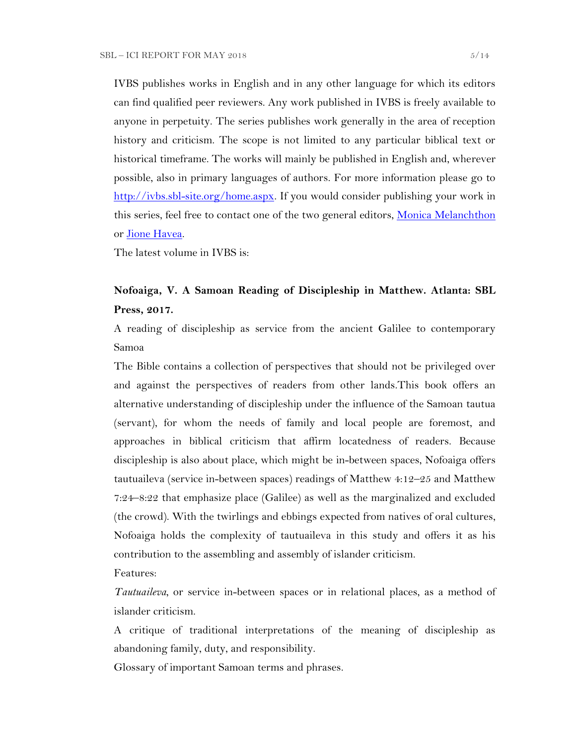IVBS publishes works in English and in any other language for which its editors can find qualified peer reviewers. Any work published in IVBS is freely available to anyone in perpetuity. The series publishes work generally in the area of reception history and criticism. The scope is not limited to any particular biblical text or historical timeframe. The works will mainly be published in English and, wherever possible, also in primary languages of authors. For more information please go to [http://ivbs.sbl-site.org/home.aspx.](http://ivbs.sbl-site.org/home.aspx) If you would consider publishing your work in this series, feel free to contact one of the two general editors, [Monica Melanchthon](mailto:ivbs2010@gmail.com) or [Jione Havea.](mailto:jioneh@nsw.uca.org.au)

The latest volume in IVBS is:

### **Nofoaiga, V. A Samoan Reading of Discipleship in Matthew. Atlanta: SBL Press, 2017.**

A reading of discipleship as service from the ancient Galilee to contemporary Samoa

The Bible contains a collection of perspectives that should not be privileged over and against the perspectives of readers from other lands.This book offers an alternative understanding of discipleship under the influence of the Samoan tautua (servant), for whom the needs of family and local people are foremost, and approaches in biblical criticism that affirm locatedness of readers. Because discipleship is also about place, which might be in-between spaces, Nofoaiga offers tautuaileva (service in-between spaces) readings of Matthew 4:12–25 and Matthew 7:24–8:22 that emphasize place (Galilee) as well as the marginalized and excluded (the crowd). With the twirlings and ebbings expected from natives of oral cultures, Nofoaiga holds the complexity of tautuaileva in this study and offers it as his contribution to the assembling and assembly of islander criticism.

Features:

*Tautuaileva*, or service in-between spaces or in relational places, as a method of islander criticism.

A critique of traditional interpretations of the meaning of discipleship as abandoning family, duty, and responsibility.

Glossary of important Samoan terms and phrases.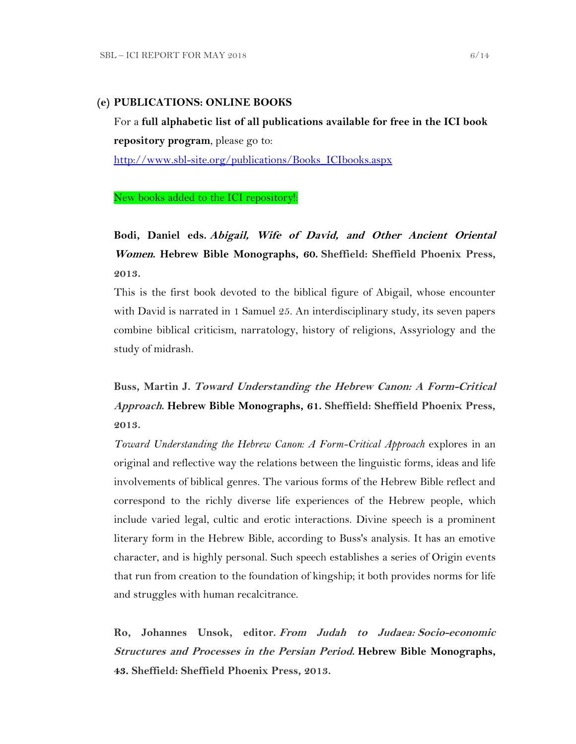#### **(e) PUBLICATIONS: ONLINE BOOKS**

For a **full alphabetic list of all publications available for free in the ICI book repository program**, please go to:

[http://www.sbl-site.org/publications/Books\\_ICIbooks.aspx](http://www.sbl-site.org/publications/Books_ICIbooks.aspx)

#### New books added to the ICI repository!:

**Bodi, Daniel eds. Abigail, Wife of David, and Other Ancient Oriental Women. Hebrew Bible Monographs, 60. Sheffield: Sheffield Phoenix Press, 2013.**

This is the first book devoted to the biblical figure of Abigail, whose encounter with David is narrated in 1 Samuel 25. An interdisciplinary study, its seven papers combine biblical criticism, narratology, history of religions, Assyriology and the study of midrash.

**Buss, Martin J. Toward Understanding the Hebrew Canon: A Form-Critical Approach. Hebrew Bible Monographs, 61. Sheffield: Sheffield Phoenix Press, 2013.**

*Toward Understanding the Hebrew Canon: A Form-Critical Approach* explores in an original and reflective way the relations between the linguistic forms, ideas and life involvements of biblical genres. The various forms of the Hebrew Bible reflect and correspond to the richly diverse life experiences of the Hebrew people, which include varied legal, cultic and erotic interactions. Divine speech is a prominent literary form in the Hebrew Bible, according to Buss's analysis. It has an emotive character, and is highly personal. Such speech establishes a series of Origin events that run from creation to the foundation of kingship; it both provides norms for life and struggles with human recalcitrance.

**Ro, Johannes Unsok, editor. From Judah to Judaea: Socio-economic Structures and Processes in the Persian Period. Hebrew Bible Monographs, 43. Sheffield: Sheffield Phoenix Press, 2013.**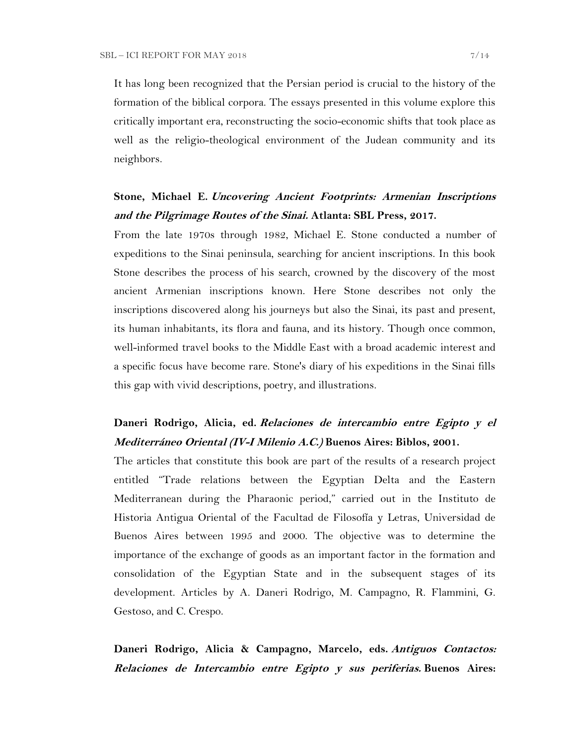It has long been recognized that the Persian period is crucial to the history of the formation of the biblical corpora. The essays presented in this volume explore this critically important era, reconstructing the socio-economic shifts that took place as well as the religio-theological environment of the Judean community and its neighbors.

## **Stone, Michael E. Uncovering Ancient Footprints: Armenian Inscriptions and the Pilgrimage Routes of the Sinai. Atlanta: SBL Press, 2017.**

From the late 1970s through 1982, Michael E. Stone conducted a number of expeditions to the Sinai peninsula, searching for ancient inscriptions. In this book Stone describes the process of his search, crowned by the discovery of the most ancient Armenian inscriptions known. Here Stone describes not only the inscriptions discovered along his journeys but also the Sinai, its past and present, its human inhabitants, its flora and fauna, and its history. Though once common, well-informed travel books to the Middle East with a broad academic interest and a specific focus have become rare. Stone's diary of his expeditions in the Sinai fills this gap with vivid descriptions, poetry, and illustrations.

# **Daneri Rodrigo, Alicia, ed. Relaciones de intercambio entre Egipto y el Mediterráneo Oriental (IV-I Milenio A.C.) Buenos Aires: Biblos, 2001.**

The articles that constitute this book are part of the results of a research project entitled "Trade relations between the Egyptian Delta and the Eastern Mediterranean during the Pharaonic period," carried out in the Instituto de Historia Antigua Oriental of the Facultad de Filosofía y Letras, Universidad de Buenos Aires between 1995 and 2000. The objective was to determine the importance of the exchange of goods as an important factor in the formation and consolidation of the Egyptian State and in the subsequent stages of its development. Articles by A. Daneri Rodrigo, M. Campagno, R. Flammini, G. Gestoso, and C. Crespo.

**Daneri Rodrigo, Alicia & Campagno, Marcelo, eds. Antiguos Contactos: Relaciones de Intercambio entre Egipto y sus periferias. Buenos Aires:**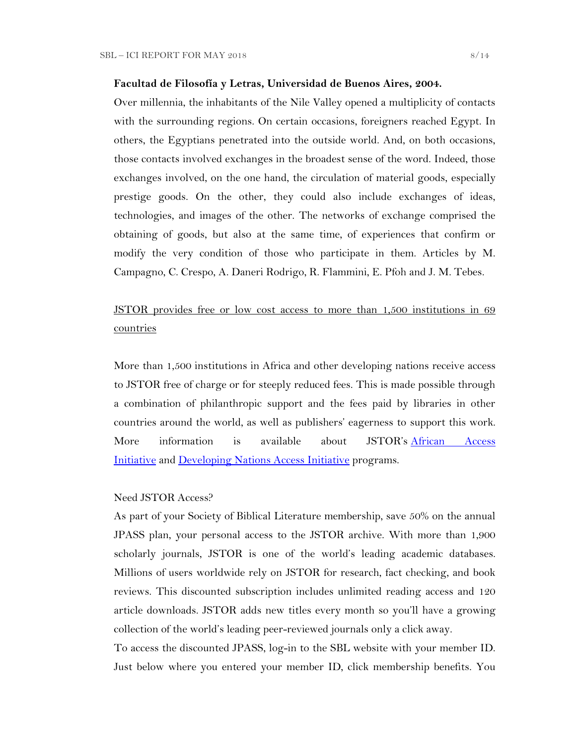#### **Facultad de Filosofía y Letras, Universidad de Buenos Aires, 2004.**

Over millennia, the inhabitants of the Nile Valley opened a multiplicity of contacts with the surrounding regions. On certain occasions, foreigners reached Egypt. In others, the Egyptians penetrated into the outside world. And, on both occasions, those contacts involved exchanges in the broadest sense of the word. Indeed, those exchanges involved, on the one hand, the circulation of material goods, especially prestige goods. On the other, they could also include exchanges of ideas, technologies, and images of the other. The networks of exchange comprised the obtaining of goods, but also at the same time, of experiences that confirm or modify the very condition of those who participate in them. Articles by M. Campagno, C. Crespo, A. Daneri Rodrigo, R. Flammini, E. Pfoh and J. M. Tebes.

# JSTOR provides free or low cost access to more than 1,500 institutions in 69 countries

More than 1,500 institutions in Africa and other developing nations receive access to JSTOR free of charge or for steeply reduced fees. This is made possible through a combination of philanthropic support and the fees paid by libraries in other countries around the world, as well as publishers' eagerness to support this work. More information is available about JSTOR's [African Access](http://about.jstor.org/libraries/african-access-initiative)  [Initiative](http://about.jstor.org/libraries/african-access-initiative) and [Developing Nations Access Initiative](http://about.jstor.org/libraries/developing-nations-access-initiative) programs.

### Need JSTOR Access?

As part of your Society of Biblical Literature membership, save 50% on the annual JPASS plan, your personal access to the JSTOR archive. With more than 1,900 scholarly journals, JSTOR is one of the world's leading academic databases. Millions of users worldwide rely on JSTOR for research, fact checking, and book reviews. This discounted subscription includes unlimited reading access and 120 article downloads. JSTOR adds new titles every month so you'll have a growing collection of the world's leading peer-reviewed journals only a click away.

To access the discounted JPASS, log-in to the SBL website with your member ID. Just below where you entered your member ID, click membership benefits. You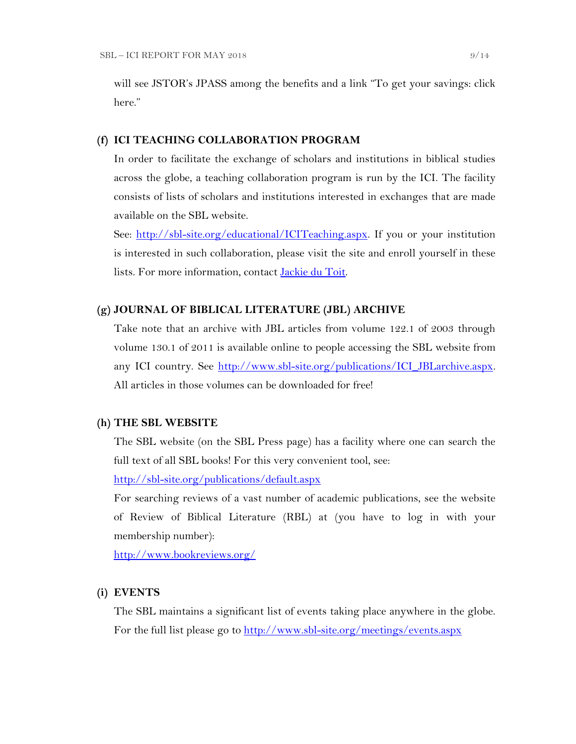will see JSTOR's JPASS among the benefits and a link "To get your savings: click here."

#### **(f) ICI TEACHING COLLABORATION PROGRAM**

In order to facilitate the exchange of scholars and institutions in biblical studies across the globe, a teaching collaboration program is run by the ICI. The facility consists of lists of scholars and institutions interested in exchanges that are made available on the SBL website.

See: [http://sbl-site.org/educational/ICITeaching.aspx.](http://sbl-site.org/educational/ICITeaching.aspx) If you or your institution is interested in such collaboration, please visit the site and enroll yourself in these lists. For more information, contact [Jackie du Toit.](mailto:dutoitjs@ufs.ac.za)

### **(g) JOURNAL OF BIBLICAL LITERATURE (JBL) ARCHIVE**

Take note that an archive with JBL articles from volume 122.1 of 2003 through volume 130.1 of 2011 is available online to people accessing the SBL website from any ICI country. See [http://www.sbl-site.org/publications/ICI\\_JBLarchive.aspx.](http://www.sbl-site.org/publications/ICI_JBLarchive.aspx) All articles in those volumes can be downloaded for free!

#### **(h) THE SBL WEBSITE**

The SBL website (on the SBL Press page) has a facility where one can search the full text of all SBL books! For this very convenient tool, see:

<http://sbl-site.org/publications/default.aspx>

For searching reviews of a vast number of academic publications, see the website of Review of Biblical Literature (RBL) at (you have to log in with your membership number):

<http://www.bookreviews.org/>

#### **(i) EVENTS**

The SBL maintains a significant list of events taking place anywhere in the globe. For the full list please go to<http://www.sbl-site.org/meetings/events.aspx>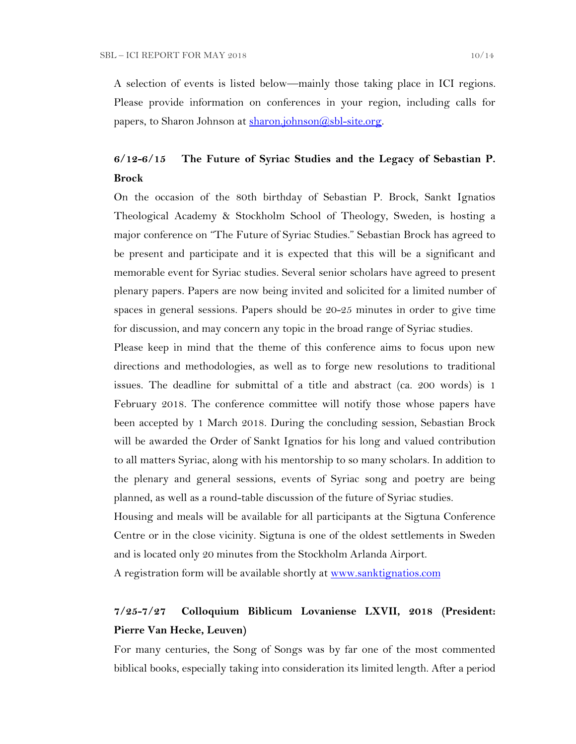A selection of events is listed below—mainly those taking place in ICI regions. Please provide information on conferences in your region, including calls for papers, to Sharon Johnson at  $\frac{\text{sharon.}[\text{ohnson}(\text{Q}, \text{b})] - \text{site.} \text{org.}}{\text{g.}}$ 

## **6/12-6/15 The Future of Syriac Studies and the Legacy of Sebastian P. Brock**

On the occasion of the 80th birthday of Sebastian P. Brock, Sankt Ignatios Theological Academy & Stockholm School of Theology, Sweden, is hosting a major conference on "The Future of Syriac Studies." Sebastian Brock has agreed to be present and participate and it is expected that this will be a significant and memorable event for Syriac studies. Several senior scholars have agreed to present plenary papers. Papers are now being invited and solicited for a limited number of spaces in general sessions. Papers should be 20-25 minutes in order to give time for discussion, and may concern any topic in the broad range of Syriac studies.

Please keep in mind that the theme of this conference aims to focus upon new directions and methodologies, as well as to forge new resolutions to traditional issues. The deadline for submittal of a title and abstract (ca. 200 words) is 1 February 2018. The conference committee will notify those whose papers have been accepted by 1 March 2018. During the concluding session, Sebastian Brock will be awarded the Order of Sankt Ignatios for his long and valued contribution to all matters Syriac, along with his mentorship to so many scholars. In addition to the plenary and general sessions, events of Syriac song and poetry are being planned, as well as a round-table discussion of the future of Syriac studies.

Housing and meals will be available for all participants at the Sigtuna Conference Centre or in the close vicinity. Sigtuna is one of the oldest settlements in Sweden and is located only 20 minutes from the Stockholm Arlanda Airport.

A registration form will be available shortly at [www.sanktignatios.com](../Ediciones%20UCA/ICI/Ediciones%20UCA/ICI/Ediciones%20UCA/ICI/ICI%20Newsletter%20Tebes/www.sanktignatios.com)

# **7/25-7/27 Colloquium Biblicum Lovaniense LXVII, 2018 (President: Pierre Van Hecke, Leuven)**

For many centuries, the Song of Songs was by far one of the most commented biblical books, especially taking into consideration its limited length. After a period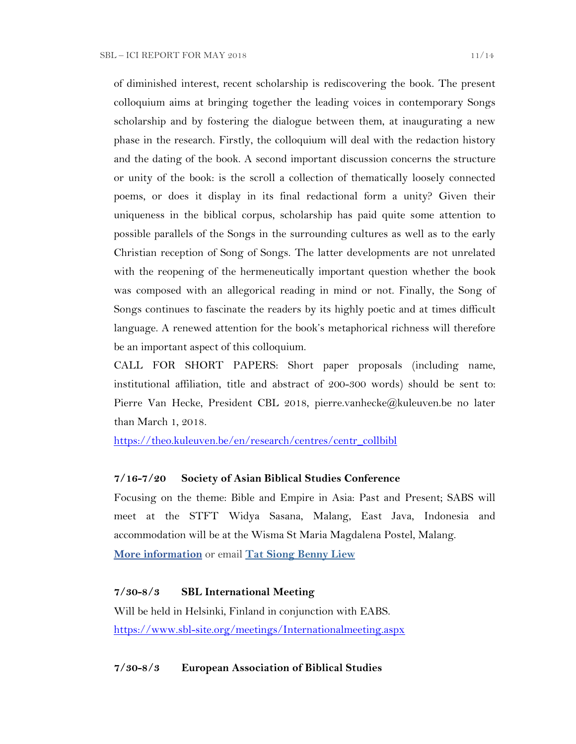of diminished interest, recent scholarship is rediscovering the book. The present colloquium aims at bringing together the leading voices in contemporary Songs scholarship and by fostering the dialogue between them, at inaugurating a new phase in the research. Firstly, the colloquium will deal with the redaction history and the dating of the book. A second important discussion concerns the structure or unity of the book: is the scroll a collection of thematically loosely connected poems, or does it display in its final redactional form a unity? Given their uniqueness in the biblical corpus, scholarship has paid quite some attention to possible parallels of the Songs in the surrounding cultures as well as to the early Christian reception of Song of Songs. The latter developments are not unrelated with the reopening of the hermeneutically important question whether the book was composed with an allegorical reading in mind or not. Finally, the Song of Songs continues to fascinate the readers by its highly poetic and at times difficult language. A renewed attention for the book's metaphorical richness will therefore be an important aspect of this colloquium.

CALL FOR SHORT PAPERS: Short paper proposals (including name, institutional affiliation, title and abstract of 200-300 words) should be sent to: Pierre Van Hecke, President CBL 2018, pierre.vanhecke@kuleuven.be no later than March 1, 2018.

[https://theo.kuleuven.be/en/research/centres/centr\\_collbibl](https://theo.kuleuven.be/en/research/centres/centr_collbibl)

#### **7/16-7/20 Society of Asian Biblical Studies Conference**

Focusing on the theme: Bible and Empire in Asia: Past and Present; SABS will meet at the STFT Widya Sasana, Malang, East Java, Indonesia and accommodation will be at the Wisma St Maria Magdalena Postel, Malang. **[More information](http://www.sabs-site.org/)** or email **[Tat Siong Benny Liew](mailto:bliew@holycross.edu)**

#### **7/30-8/3 SBL International Meeting**

Will be held in Helsinki, Finland in conjunction with EABS. <https://www.sbl-site.org/meetings/Internationalmeeting.aspx>

**7/30-8/3 European Association of Biblical Studies**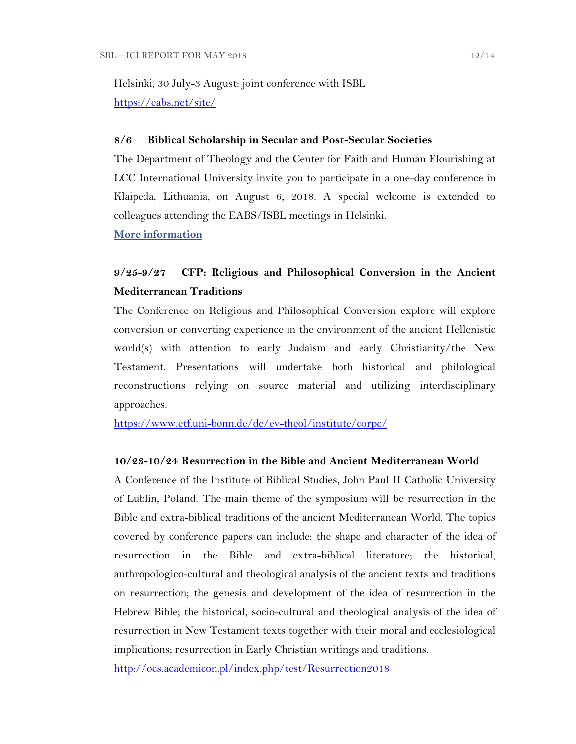Helsinki, 30 July-3 August: joint conference with ISBL <https://eabs.net/site/>

#### **8/6 Biblical Scholarship in Secular and Post-Secular Societies**

The Department of Theology and the Center for Faith and Human Flourishing at LCC International University invite you to participate in a one-day conference in Klaipeda, Lithuania, on August 6, 2018. A special welcome is extended to colleagues attending the EABS/ISBL meetings in Helsinki.

**[More information](https://www.lcc.lt/home/academics/research/cfhf-events/august-conferences-2018)**

### **9/25-9/27 CFP: Religious and Philosophical Conversion in the Ancient Mediterranean Traditions**

The Conference on Religious and Philosophical Conversion explore will explore conversion or converting experience in the environment of the ancient Hellenistic world(s) with attention to early Judaism and early Christianity/the New Testament. Presentations will undertake both historical and philological reconstructions relying on source material and utilizing interdisciplinary approaches.

<https://www.etf.uni-bonn.de/de/ev-theol/institute/corpc/>

### **10/23-10/24 Resurrection in the Bible and Ancient Mediterranean World**

A Conference of the Institute of Biblical Studies, John Paul II Catholic University of Lublin, Poland. The main theme of the symposium will be resurrection in the Bible and extra-biblical traditions of the ancient Mediterranean World. The topics covered by conference papers can include: the shape and character of the idea of resurrection in the Bible and extra-biblical literature; the historical, anthropologico-cultural and theological analysis of the ancient texts and traditions on resurrection; the genesis and development of the idea of resurrection in the Hebrew Bible; the historical, socio-cultural and theological analysis of the idea of resurrection in New Testament texts together with their moral and ecclesiological implications; resurrection in Early Christian writings and traditions.

<http://ocs.academicon.pl/index.php/test/Resurrection2018>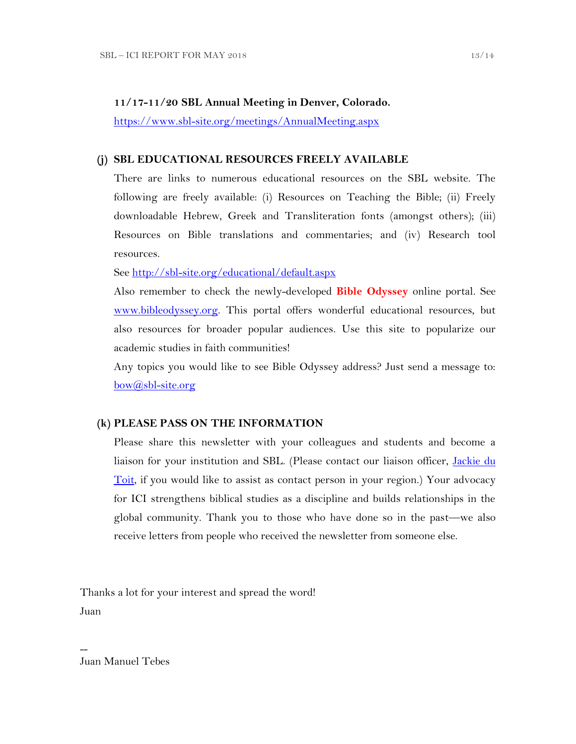#### **11/17-11/20 SBL Annual Meeting in Denver, Colorado.**

<https://www.sbl-site.org/meetings/AnnualMeeting.aspx>

#### **(j) SBL EDUCATIONAL RESOURCES FREELY AVAILABLE**

There are links to numerous educational resources on the SBL website. The following are freely available: (i) Resources on Teaching the Bible; (ii) Freely downloadable Hebrew, Greek and Transliteration fonts (amongst others); (iii) Resources on Bible translations and commentaries; and (iv) Research tool resources.

See<http://sbl-site.org/educational/default.aspx>

Also remember to check the newly-developed **Bible Odyssey** online portal. See [www.bibleodyssey.org.](http://www.bibleodyssey.org/) This portal offers wonderful educational resources, but also resources for broader popular audiences. Use this site to popularize our academic studies in faith communities!

Any topics you would like to see Bible Odyssey address? Just send a message to: [bow@sbl-site.org](mailto:bow@sbl-site.org)

#### **(k) PLEASE PASS ON THE INFORMATION**

Please share this newsletter with your colleagues and students and become a liaison for your institution and SBL. (Please contact our liaison officer, [Jackie du](mailto:dutoitjs@ufs.ac.za)  [Toit,](mailto:dutoitjs@ufs.ac.za) if you would like to assist as contact person in your region.) Your advocacy for ICI strengthens biblical studies as a discipline and builds relationships in the global community. Thank you to those who have done so in the past—we also receive letters from people who received the newsletter from someone else.

Thanks a lot for your interest and spread the word! Juan

Juan Manuel Tebes

--